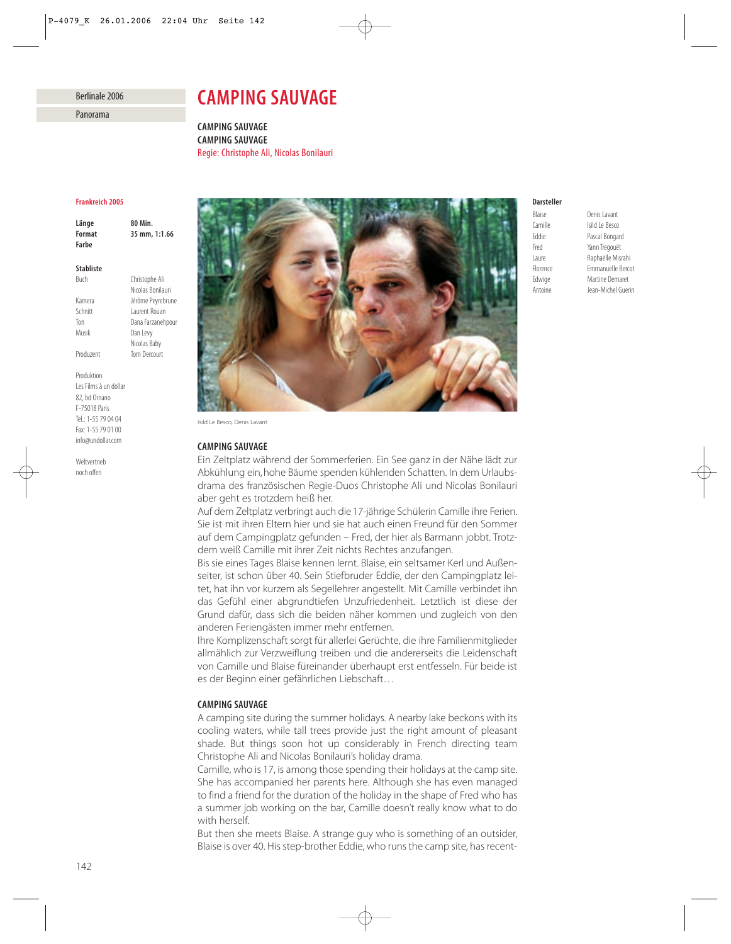# Berlinale 2006

Panorama

# *CAMPING SAUVAGE*

*CAMPING SAUVAGE CAMPING SAUVAGE* Regie: Christophe Ali, Nicolas Bonilauri

## *Frankreich 2005*

*Länge 80 Min. Format 35 mm, 1:1.66 Farbe*

## *Stabliste*

Buch Christophe Ali Nicolas Bonilauri Kamera Jérôme Peyrebrune Schnitt Laurent Rouan Ton Dana Farzanehpour Musik Dan Levy Nicolas Baby Produzent Tom Dercourt

Produktion Les Films à un dollar 82, bd Ornano F-75018 Paris Tel.: 1-55 79 04 04 Fax: 1-55 79 01 00 info@undollar.com

Weltvertrieb noch offen



Isild Le Besco, Denis Lavant

## *CAMPING SAUVAGE*

Ein Zeltplatz während der Sommerferien. Ein See ganz in der Nähe lädt zur Abkühlung ein, hohe Bäume spenden kühlenden Schatten. In dem Urlaubsdrama des französischen Regie-Duos Christophe Ali und Nicolas Bonilauri aber geht es trotzdem heiß her.

Auf dem Zeltplatz verbringt auch die 17-jährige Schülerin Camille ihre Ferien. Sie ist mit ihren Eltern hier und sie hat auch einen Freund für den Sommer auf dem Campingplatz gefunden – Fred, der hier als Barmann jobbt. Trotzdem weiß Camille mit ihrer Zeit nichts Rechtes anzufangen.

Bis sie eines Tages Blaise kennen lernt. Blaise, ein seltsamer Kerl und Außenseiter, ist schon über 40. Sein Stiefbruder Eddie, der den Campingplatz leitet, hat ihn vor kurzem als Segellehrer angestellt. Mit Camille verbindet ihn das Gefühl einer abgrundtiefen Unzufriedenheit. Letztlich ist diese der Grund dafür, dass sich die beiden näher kommen und zugleich von den anderen Feriengästen immer mehr entfernen.

Ihre Komplizenschaft sorgt für allerlei Gerüchte, die ihre Familienmitglieder allmählich zur Verzweiflung treiben und die andererseits die Leidenschaft von Camille und Blaise füreinander überhaupt erst entfesseln. Für beide ist es der Beginn einer gefährlichen Liebschaft…

## *CAMPING SAUVAGE*

A camping site during the summer holidays. A nearby lake beckons with its cooling waters, while tall trees provide just the right amount of pleasant shade. But things soon hot up considerably in French directing team Christophe Ali and Nicolas Bonilauri's holiday drama.

Camille, who is 17, is among those spending their holidays at the camp site. She has accompanied her parents here. Although she has even managed to find a friend for the duration of the holiday in the shape of Fred who has a summer job working on the bar, Camille doesn't really know what to do with herself.

But then she meets Blaise. A strange guy who is something of an outsider, Blaise is over 40. His step-brother Eddie, who runs the camp site, has recent-

# *Darsteller*

Blaise **Denis Lavant**<br>Camille **Sancta** Isild Le Besco

Camille Isild Le Besco Eddie Pascal Bongard Fred Yann Tregouët Laure Raphaëlle Misrahi Florence Emmanuelle Bercot Edwige Martine Demaret Antoine Jean-Michel Guerin